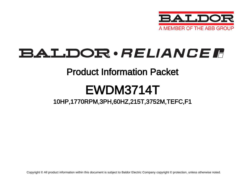

## BALDOR · RELIANCE F

### Product Information Packet

# EWDM3714T

### 10HP,1770RPM,3PH,60HZ,215T,3752M,TEFC,F1

Copyright © All product information within this document is subject to Baldor Electric Company copyright © protection, unless otherwise noted.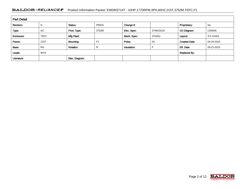#### BALDOR · RELIANCE F Product Information Packet: EWDM3714T - 10HP,1770RPM,3PH,60HZ,215T,3752M,TEFC,F1

| <b>Part Detail</b> |             |                  |                |             |          |                      |            |  |  |
|--------------------|-------------|------------------|----------------|-------------|----------|----------------------|------------|--|--|
| Revision:          | Н           | Status:          | PRD/A          | Change #:   |          | Proprietary:         | No         |  |  |
| Type:              | <b>AC</b>   | Prod. Type:      | 3752M          | Elec. Spec: | 37WGS518 | CD Diagram:          | CD0005     |  |  |
| Enclosure:         | <b>TEFC</b> | Mfg Plant:       |                | Mech. Spec: | 37H451   | Layout:              | 37LYH451   |  |  |
| Frame:             | 215T        | Mounting:        | F <sub>1</sub> | Poles:      | 04       | <b>Created Date:</b> | 04-29-2010 |  |  |
| Base:              | <b>RG</b>   | <b>Rotation:</b> | R              | Insulation: |          | Eff. Date:           | 09-21-2015 |  |  |
| Leads:             | 9#14        |                  |                |             |          | <b>Replaced By:</b>  |            |  |  |
| Literature:        |             | Elec. Diagram:   |                |             |          |                      |            |  |  |

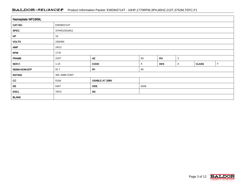#### BALDOR · RELIANCE F Product Information Packet: EWDM3714T - 10HP,1770RPM,3PH,60HZ,215T,3752M,TEFC,F1

| Nameplate NP1669L |              |                |      |            |              |              |   |  |  |  |
|-------------------|--------------|----------------|------|------------|--------------|--------------|---|--|--|--|
| CAT.NO.           | EWDM3714T    |                |      |            |              |              |   |  |  |  |
| SPEC.             | 37H451S518G1 |                |      |            |              |              |   |  |  |  |
| HP                | 10           |                |      |            |              |              |   |  |  |  |
| <b>VOLTS</b>      | 230/460      |                |      |            |              |              |   |  |  |  |
| <b>AMP</b>        | 24/12        |                |      |            |              |              |   |  |  |  |
| <b>RPM</b>        | 1770         |                |      |            |              |              |   |  |  |  |
| <b>FRAME</b>      | 215T         | HZ             | 60   | PH         | $\mathbf{3}$ |              |   |  |  |  |
| SER.F.            | 1.15         | <b>CODE</b>    | Κ    | <b>DES</b> | A            | <b>CLASS</b> | F |  |  |  |
| NEMA-NOM-EFF      | 91.7         | PF             | 85   |            |              |              |   |  |  |  |
| <b>RATING</b>     | 40C AMB-CONT |                |      |            |              |              |   |  |  |  |
| cc                | 010A         | USABLE AT 208V |      |            |              |              |   |  |  |  |
| DE                | 6307         | <b>ODE</b>     | 6206 |            |              |              |   |  |  |  |
| <b>ENCL</b>       | <b>TEFC</b>  | SN             |      |            |              |              |   |  |  |  |
| <b>BLANK</b>      |              |                |      |            |              |              |   |  |  |  |

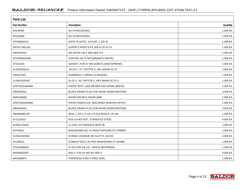| <b>Parts List</b> |                                          |          |  |  |  |  |
|-------------------|------------------------------------------|----------|--|--|--|--|
| Part Number       | Description                              | Quantity |  |  |  |  |
| SA194360          | SA 37H451S518G1                          | 1.000 EA |  |  |  |  |
| RA181950          | RA 37H451S518G1                          | 1.000 EA |  |  |  |  |
| 37FN3002C01       | EXFN, PLASTIC, 6.00 OD, 1.155 ID         | 1.000 EA |  |  |  |  |
| S/P107-000-001    | SUPER E PROC'S-FS, WS & CK PLTS          | 1.000 EA |  |  |  |  |
| HW3200A01         | 3/8-16X3/4 I-BLT WELDED F/S              | 1.000 EA |  |  |  |  |
| 37CB3005A04W      | CASTING W/.75 NPT@6(MACH WHITE)          | 1.000 EA |  |  |  |  |
| 37GS1015          | GASKET, FOR 37 WD KOBX'S (SANTOPRENE)    | 1.000 EA |  |  |  |  |
| 51XW2520A12       | .25-20 X .75, TAPTITE II, HEX WSHR SLTD  | 2.000 EA |  |  |  |  |
| HA5027A01         | HA4066A01 T-DRAIN X2 BAGGED              | 1.000 EA |  |  |  |  |
| 11XW1032G06       | 10-32 X .38, TAPTITE II, HEX WSHR SLTD U | 1.000 EA |  |  |  |  |
| 37EP3101A94MW     | FRONT TEFC L&M 206 BRG W/O GRSR (WHITE)  | 1.000 EA |  |  |  |  |
| HW4032A01         | BLACK DRAIN PLUG FOR WASH DOWN MOTORS    | 3.000 EA |  |  |  |  |
| HW5100A06         | W2420-025 WVY WSHR (WB)                  | 1.000 EA |  |  |  |  |
| 37EP3100A20MW     | FRONT ENDPLATE, MACHINED W/WHITE EPOXY   | 1.000 EA |  |  |  |  |
| HW4032A01         | BLACK DRAIN PLUG FOR WASH DOWN MOTORS    | 3.000 EA |  |  |  |  |
| HW4600B51SP       | SEAL 1.375 X 2.125 X 0.313 SINGLE LIP DB | 1.000 EA |  |  |  |  |
| XY3118S12         | 5/16-18 HEX NUT, STAINLESS STEEL         | 4.000 EA |  |  |  |  |
| 51XB1214A20       | 12-14X1.25 HXWSSLD SERTYB                | 1.000 EA |  |  |  |  |
| 07FH4011          | WASHDOWN IEC FH W/AUTOPHORETIC PRIMER    | 1.000 EA |  |  |  |  |
| 11XW1032S06       | SCREW, HXWSHR HD SLDTYF 410 SS           | 3.000 EA |  |  |  |  |
| 37CB4512          | CONDUIT BOX LID FOR WASHDOWN 37 FRAME    | 1.000 EA |  |  |  |  |
| 37GS1008A02       | 37 GS FOR CB LID - WHITE NEOPRENE        | 1.000 EA |  |  |  |  |
| 59XN0832S07       | 8/32 X 7/16 HX WS HD SER X               | 4.000 EA |  |  |  |  |
| HW4600B74         | FORSHEDA V28A V-RING SEAL                | 1.000 EA |  |  |  |  |

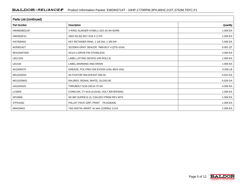| Parts List (continued) |                                             |          |  |  |  |  |
|------------------------|---------------------------------------------|----------|--|--|--|--|
| <b>Part Number</b>     | <b>Description</b>                          | Quantity |  |  |  |  |
| HW4600B31SP            | V-RING SLINGER #V38A, 1.42/1.50 SH BORE     | 1.000 EA |  |  |  |  |
| HW2502F21              | #303 SS, SQ KEY 5/16 X 2.375                | 1.000 EA |  |  |  |  |
| HA7000A02              | KEY RETAINER RING, 1 1/8 DIA, 1 3/8 DIA     | 1.000 EA |  |  |  |  |
| MJ5001A27              | 32220KN GRAY SEALER *MIN BUY 4 QTS=1GAL     | 0.001 QT |  |  |  |  |
| 85XU0407S04            | 4X1/4 U DRIVE PIN STAINLESS                 | 2.000 EA |  |  |  |  |
| LB1115N                | LABEL, LIFTING DEVICE (ON ROLLS)            | 1.000 EA |  |  |  |  |
| LB1164                 | LABEL, WARNING AND DRAIN                    | 1.000 EA |  |  |  |  |
| MJ1000A75              | GREASE, POLYREX EM EXXON (USe 4824-15A)     | 0.050 LB |  |  |  |  |
| MG1025Z02              | <b>ACTIVATOR WILKOFAST 060-02</b>           | 0.010 GA |  |  |  |  |
| MG1025W01              | RAL9003, SIGNAL WHITE, GLOSS 85             | 0.028 GA |  |  |  |  |
| HA3104S25              | THRUBOLT-5/16-18X14.75 SS                   | 4.000 EA |  |  |  |  |
| LC0005                 | CONN.DIA., TY M, 9-LD, DUAL VOLT, REVERSING | 1.000 EA |  |  |  |  |
| NP1669L                | SS WD SUPER-E UL CSA-EEV PREM REV MTG       | 1.000 EA |  |  |  |  |
| 37PA1052               | PALLET PACK GRP, PRINT PK1026A06            | 1.000 EA |  |  |  |  |
| MN416A01               | TAG-INSTAL-MAINT no wire (1200/bx) 11/14    | 1.000 EA |  |  |  |  |

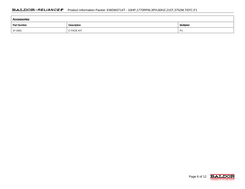| Accessories                                           |             |            |  |  |  |  |  |
|-------------------------------------------------------|-------------|------------|--|--|--|--|--|
| Part Number<br>the control of the control of the con- | Description | Multiplier |  |  |  |  |  |
| 37-3301                                               | C FACE KIT  | P          |  |  |  |  |  |

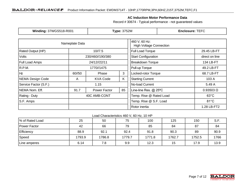#### **AC Induction Motor Performance Data**

Record # 30674 - Typical performance - not guaranteed values

| <b>Winding: 37WGS518-R001</b>    |                | <b>Type: 3752M</b>      |                            | <b>Enclosure: TEFC</b>                          |                |                  |  |
|----------------------------------|----------------|-------------------------|----------------------------|-------------------------------------------------|----------------|------------------|--|
|                                  | Nameplate Data |                         |                            | 460 V, 60 Hz:<br><b>High Voltage Connection</b> |                |                  |  |
| Rated Output (HP)<br>10/7.5      |                |                         |                            | Full Load Torque                                |                | 29.45 LB-FT      |  |
| <b>Volts</b><br>230/460//190/380 |                |                         | <b>Start Configuration</b> |                                                 | direct on line |                  |  |
| <b>Full Load Amps</b>            | 24/12//22/11   |                         |                            | <b>Breakdown Torque</b>                         | 134 LB-FT      |                  |  |
| R.P.M.                           | 1770//1475     |                         |                            | Pull-up Torque                                  |                | 49.2 LB-FT       |  |
| Hz                               | 60//50         | 3<br>Phase              |                            | Locked-rotor Torque                             |                | 68.7 LB-FT       |  |
| NEMA Design Code                 | A              | <b>KVA Code</b>         | K                          | <b>Starting Current</b>                         |                | 103 A            |  |
| Service Factor (S.F.)            |                | 1.15                    |                            | No-load Current                                 |                | 5.49 A           |  |
| NEMA Nom. Eff.                   | 91.7           | 85<br>Power Factor      |                            | Line-line Res. @ 25°C                           |                | $0.93503 \Omega$ |  |
| Rating - Duty<br>40C AMB-CONT    |                | Temp. Rise @ Rated Load |                            | $63^{\circ}$ C                                  |                |                  |  |
| S.F. Amps                        |                |                         |                            | Temp. Rise @ S.F. Load                          |                | $81^{\circ}$ C   |  |
|                                  |                |                         |                            | Rotor inertia                                   |                | 1.28 LB-FT2      |  |

Load Characteristics 460 V, 60 Hz, 10 HP

| % of Rated Load     | 25     | 50     | 75     | 100    | 125    | 150    | S.F. |
|---------------------|--------|--------|--------|--------|--------|--------|------|
| <b>Power Factor</b> | 42     | 66     | 79     | 85     | 84     | 87     | 84   |
| Efficiency          | 88.9   | 92.1   | 92.4   | 91.8   | 90.3   | 89     | 90.9 |
| Speed               | 1793.9 | 1786.8 | 1779.7 | 1771.8 | 1762.7 | 1752.5 | 1766 |
| Line amperes        | 6.14   | 7.8    | 9.9    | 12.3   | 15     | 17.9   | 13.9 |

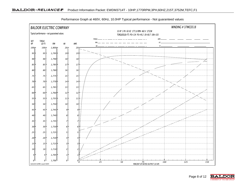

Performance Graph at 460V, 60Hz, 10.0HP Typical performance - Not guaranteed values

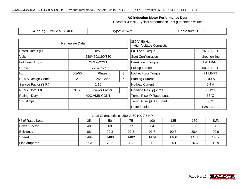#### **AC Induction Motor Performance Data**

Record # 30675 - Typical performance - not guaranteed values

| <b>Winding: 37WGS518-R001</b>  |                            | <b>Type: 3752M</b>      |                         |                                                 | <b>Enclosure: TEFC</b> |                |  |
|--------------------------------|----------------------------|-------------------------|-------------------------|-------------------------------------------------|------------------------|----------------|--|
|                                | Nameplate Data             |                         |                         | 380 V, 50 Hz:<br><b>High Voltage Connection</b> |                        |                |  |
| Rated Output (HP)<br>10/7.5    |                            |                         |                         | <b>Full Load Torque</b>                         |                        | 26.6 LB-FT     |  |
| Volts                          | 230/460//190/380           |                         |                         | <b>Start Configuration</b>                      |                        | direct on line |  |
| Full Load Amps<br>24/12//22/11 |                            |                         | <b>Breakdown Torque</b> | 128 LB-FT                                       |                        |                |  |
| R.P.M.                         | 1770//1475                 |                         |                         | Pull-up Torque                                  |                        | 50.9 LB-FT     |  |
| Hz                             | 60//50                     | 3<br>Phase              |                         | Locked-rotor Torque                             |                        | 71 LB-FT       |  |
| <b>NEMA Design Code</b>        | A                          | <b>KVA Code</b>         | K                       | <b>Starting Current</b>                         |                        | 100 A          |  |
| Service Factor (S.F.)          |                            | 1.15                    |                         | No-load Current                                 |                        | 5.4 A          |  |
| NEMA Nom. Eff.                 | 85<br>91.7<br>Power Factor |                         | Line-line Res. @ 25°C   |                                                 | $0.912 \Omega$         |                |  |
| Rating - Duty<br>40C AMB-CONT  |                            | Temp. Rise @ Rated Load |                         | $56^{\circ}$ C                                  |                        |                |  |
| S.F. Amps                      |                            |                         |                         | Temp. Rise @ S.F. Load                          |                        | $68^{\circ}$ C |  |
|                                |                            |                         |                         | Rotor inertia                                   |                        | 1.28 LB-FT2    |  |

#### Load Characteristics 380 V, 50 Hz, 7.5 HP

| % of Rated Load | 25   | 50   | 75   | 100  | 125  | 150  | S.F. |
|-----------------|------|------|------|------|------|------|------|
| Power Factor    | 40   | 63   | 77   | 84   | 83   | 87   | 83   |
| Efficiency      | 88   | 92.3 | 92.3 | 91.7 | 90.3 | 88.4 | 90.9 |
| Speed           | 1494 | 1488 | 1482 | 1474 | 1466 | 1457 | 1469 |
| Line amperes    | 5.93 | 7.22 | 8.93 | 44   | 14.1 | 16.6 | 12.9 |

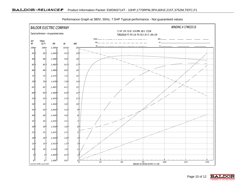

Performance Graph at 380V, 50Hz, 7.5HP Typical performance - Not guaranteed values

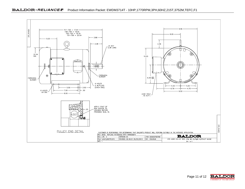